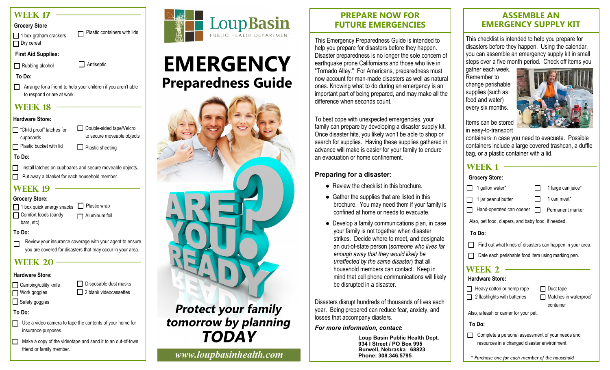# **WEEK 17**

**Grocery Store**

| 1 box graham crackers | Plastic containers with lids |
|-----------------------|------------------------------|
| □ Dry cereal          |                              |

**First Aid Supplies:**

Rubbing alcohol **Antiseptic** 

**To Do:**

Arrange for a friend to help your children if you aren't able to respond or are at work.

# **WEEK 18**

#### **Hardware Store:**

 $\Box$  Plastic sheeting Double-sided tape/Velcro to secure moveable objects □ "Child proof" latches for cupboards  $\Box$  Plastic bucket with lid

**To Do:**

Install latches on cupboards and secure moveable objects.  $\Box$ 

Put away a blanket for each household member.

# **WEEK 19**

**Grocery Store:** 1 box quick energy snacks **D** Plastic wrap Comfort foods (candy  $\Box$  Aluminum foil

bars, etc)

- **To Do:**
- Review your insurance coverage with your agent to ensure  $\Box$ you are covered for disasters that may occur in your area.

# **WEEK 20 ·**

# **Hardware Store:**

□ Camping/utility knife □ Disposable dust masks

 $\Box$  Safety goggles

Work goggles

 $\Box$  2 blank videocassettes

**To Do:**

□ Use a video camera to tape the contents of your home for insurance purposes.

 $\Box$  Make a copy of the videotape and send it to an out-of-town friend or family member.



# **EMERGENCY Preparedness Guide**



**TODAY** 

www.loupbasinhealth.com

#### **PREPARE NOW FOR FUTURE EMERGENCIES**

This Emergency Preparedness Guide is intended to help you prepare for disasters before they happen. Disaster preparedness is no longer the sole concern of earthquake prone Californians and those who live in "Tornado Alley." For Americans, preparedness must now account for man-made disasters as well as natural ones. Knowing what to do during an emergency is an important part of being prepared, and may make all the difference when seconds count.

To best cope with unexpected emergencies, your family can prepare by developing a disaster supply kit. Once disaster hits, you likely won't be able to shop or search for supplies. Having these supplies gathered in advance will make is easier for your family to endure an evacuation or home confinement.

#### **Preparing for a disaster**:

- Review the checklist in this brochure
- Gather the supplies that are listed in this brochure. You may need them if your family is confined at home or needs to evacuate.
- Develop a family communications plan, in case your family is not together when disaster strikes. Decide where to meet, and designate an out-of-state person (*someone who lives far enough away that they would likely be unaffected by the same disaster*) that all household members can contact. Keep in mind that cell phone communications will likely be disrupted in a disaster.

Disasters disrupt hundreds of thousands of lives each year. Being prepared can reduce fear, anxiety, and losses that accompany diasters.

*For more information, contact***:**

**Loup Basin Public Health Dept. 934 I Street / PO Box 995 Burwell, Nebraska 68823 Phone: 308.346.5795**

#### **ASSEMBLE AN EMERGENCY SUPPLY KIT**

This checklist is intended to help you prepare for disasters before they happen. Using the calendar, you can assemble an emergency supply kit in small steps over a five month period. Check off items you

gather each week. Remember to change perishable supplies (such as food and water) every six months.



Items can be stored in easy-to-transport

containers in case you need to evacuate. Possible containers include a large covered trashcan, a duffle bag, or a plastic container with a lid.

# **Week 1 ———————————**

|                                                           | <u>VUHRI I</u>                                                                                   |              |                                    |
|-----------------------------------------------------------|--------------------------------------------------------------------------------------------------|--------------|------------------------------------|
|                                                           | <b>Grocery Store:</b>                                                                            |              |                                    |
|                                                           | 1 gallon water*                                                                                  |              | 1 large can juice*                 |
|                                                           | 1 jar peanut butter                                                                              |              | 1 can meat*                        |
|                                                           | Hand-operated can opener                                                                         | $\mathbf{1}$ | Permanent marker                   |
|                                                           | Also, pet food, diapers, and baby food, if needed.                                               |              |                                    |
|                                                           | To Do:                                                                                           |              |                                    |
| Find out what kinds of disasters can happen in your area. |                                                                                                  |              |                                    |
| Date each perishable food item using marking pen.         |                                                                                                  |              |                                    |
| WEEK 2                                                    |                                                                                                  |              |                                    |
|                                                           | <b>Hardware Store:</b>                                                                           |              |                                    |
|                                                           | Heavy cotton or hemp rope                                                                        |              | $\Box$ Duct tape                   |
|                                                           | 2 flashlights with batteries                                                                     | - 1          | Matches in waterproof<br>container |
|                                                           | Also, a leash or carrier for your pet.                                                           |              |                                    |
|                                                           | To Do:                                                                                           |              |                                    |
|                                                           | Complete a personal assessment of your needs and<br>resources in a changed disaster environment. |              |                                    |

*\* Purchase one for each member of the household*